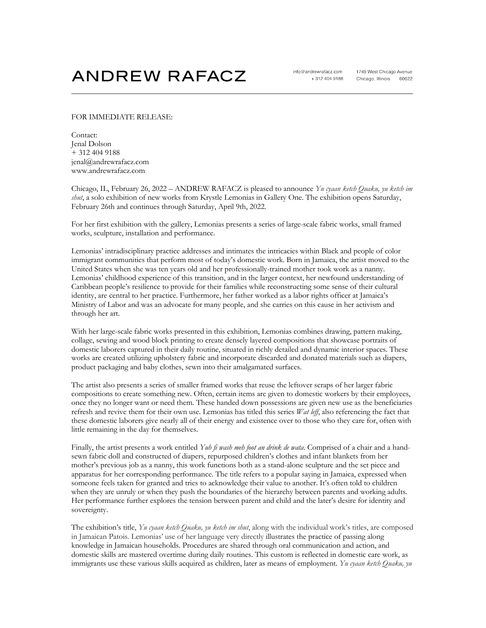## **ANDREW RAFACZ**

## FOR IMMEDIATE RELEASE:

Contact: Jenal Dolson + 312 404 9188 jenal@andrewrafacz.com www.andrewrafacz.com

Chicago, IL, February 26, 2022 – ANDREW RAFACZ is pleased to announce *Yu cyaan ketch Quaku, yu ketch im shut*, a solo exhibition of new works from Krystle Lemonias in Gallery One. The exhibition opens Saturday, February 26th and continues through Saturday, April 9th, 2022.

For her first exhibition with the gallery, Lemonias presents a series of large-scale fabric works, small framed works, sculpture, installation and performance.

Lemonias' intradisciplinary practice addresses and intimates the intricacies within Black and people of color immigrant communities that perform most of today's domestic work. Born in Jamaica, the artist moved to the United States when she was ten years old and her professionally-trained mother took work as a nanny. Lemonias' childhood experience of this transition, and in the larger context, her newfound understanding of Caribbean people's resilience to provide for their families while reconstructing some sense of their cultural identity, are central to her practice. Furthermore, her father worked as a labor rights officer at Jamaica's Ministry of Labor and was an advocate for many people, and she carries on this cause in her activism and through her art.

With her large-scale fabric works presented in this exhibition, Lemonias combines drawing, pattern making, collage, sewing and wood block printing to create densely layered compositions that showcase portraits of domestic laborers captured in their daily routine, situated in richly detailed and dynamic interior spaces. These works are created utilizing upholstery fabric and incorporate discarded and donated materials such as diapers, product packaging and baby clothes, sewn into their amalgamated surfaces.

The artist also presents a series of smaller framed works that reuse the leftover scraps of her larger fabric compositions to create something new. Often, certain items are given to domestic workers by their employees, once they no longer want or need them. These handed down possessions are given new use as the beneficiaries refresh and revive them for their own use. Lemonias has titled this series *Wat leff*, also referencing the fact that these domestic laborers give nearly all of their energy and existence over to those who they care for, often with little remaining in the day for themselves.

Finally, the artist presents a work entitled *Yuh fi wash meh foot an drink de wata*. Comprised of a chair and a handsewn fabric doll and constructed of diapers, repurposed children's clothes and infant blankets from her mother's previous job as a nanny, this work functions both as a stand-alone sculpture and the set piece and apparatus for her corresponding performance. The title refers to a popular saying in Jamaica, expressed when someone feels taken for granted and tries to acknowledge their value to another. It's often told to children when they are unruly or when they push the boundaries of the hierarchy between parents and working adults. Her performance further explores the tension between parent and child and the later's desire for identity and sovereignty.

The exhibition's title, *Yu cyaan ketch Quaku, yu ketch im shut*, along with the individual work's titles, are composed in Jamaican Patois. Lemonias' use of her language very directly illustrates the practice of passing along knowledge in Jamaican households. Procedures are shared through oral communication and action, and domestic skills are mastered overtime during daily routines. This custom is reflected in domestic care work, as immigrants use these various skills acquired as children, later as means of employment. *Yu cyaan ketch Quaku, yu*